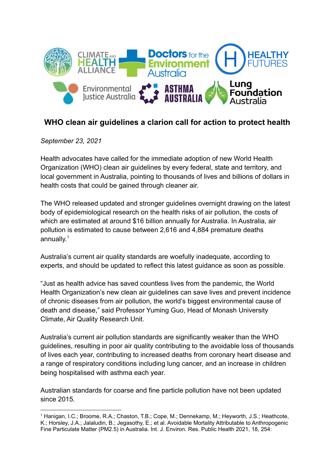

## **WHO clean air guidelines a clarion call for action to protect health**

*September 23, 2021*

Health advocates have called for the immediate adoption of new World Health Organization (WHO) clean air guidelines by every federal, state and territory, and local government in Australia, pointing to thousands of lives and billions of dollars in health costs that could be gained through cleaner air.

The WHO released updated and stronger guidelines overnight drawing on the latest body of epidemiological research on the health risks of air pollution, the costs of which are estimated at around \$16 billion annually for Australia. In Australia, air pollution is estimated to cause between 2,616 and 4,884 premature deaths annually.<sup>1</sup>

Australia's current air quality standards are woefully inadequate, according to experts, and should be updated to reflect this latest guidance as soon as possible.

"Just as health advice has saved countless lives from the pandemic, the World Health Organization's new clean air guidelines can save lives and prevent incidence of chronic diseases from air pollution, the world's biggest environmental cause of death and disease," said Professor Yuming Guo, Head of Monash University Climate, Air Quality Research Unit.

Australia's current air pollution standards are significantly weaker than the WHO guidelines, resulting in poor air quality contributing to the avoidable loss of thousands of lives each year, contributing to increased deaths from coronary heart disease and a range of respiratory conditions including lung cancer, and an increase in children being hospitalised with asthma each year.

Australian standards for coarse and fine particle pollution have not been updated since 2015.

<sup>1</sup> Hanigan, I.C.; Broome, R.A.; Chaston, T.B.; Cope, M.; Dennekamp, M.; Heyworth, J.S.; Heathcote, K.; Horsley, J.A.; Jalaludin, B.; Jegasothy, E.; et al. Avoidable Mortality Attributable to Anthropogenic Fine Particulate Matter (PM2.5) in Australia. Int. J. Environ. Res. Public Health 2021, 18, 254: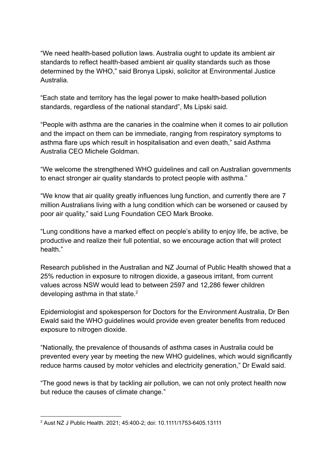"We need health-based pollution laws. Australia ought to update its ambient air standards to reflect health-based ambient air quality standards such as those determined by the WHO," said Bronya Lipski, solicitor at Environmental Justice Australia.

"Each state and territory has the legal power to make health-based pollution standards, regardless of the national standard", Ms Lipski said.

"People with asthma are the canaries in the coalmine when it comes to air pollution and the impact on them can be immediate, ranging from respiratory symptoms to asthma flare ups which result in hospitalisation and even death," said Asthma Australia CEO Michele Goldman.

"We welcome the strengthened WHO guidelines and call on Australian governments to enact stronger air quality standards to protect people with asthma."

"We know that air quality greatly influences lung function, and currently there are 7 million Australians living with a lung condition which can be worsened or caused by poor air quality," said Lung Foundation CEO Mark Brooke.

"Lung conditions have a marked effect on people's ability to enjoy life, be active, be productive and realize their full potential, so we encourage action that will protect health."

Research published in the Australian and NZ Journal of Public Health showed that a 25% reduction in exposure to nitrogen dioxide, a gaseous irritant, from current values across NSW would lead to between 2597 and 12,286 fewer children developing asthma in that state. $2$ 

Epidemiologist and spokesperson for Doctors for the Environment Australia, Dr Ben Ewald said the WHO guidelines would provide even greater benefits from reduced exposure to nitrogen dioxide.

"Nationally, the prevalence of thousands of asthma cases in Australia could be prevented every year by meeting the new WHO guidelines, which would significantly reduce harms caused by motor vehicles and electricity generation," Dr Ewald said.

"The good news is that by tackling air pollution, we can not only protect health now but reduce the causes of climate change."

<sup>2</sup> Aust NZ J Public Health. 2021; 45:400-2; doi: 10.1111/1753-6405.13111